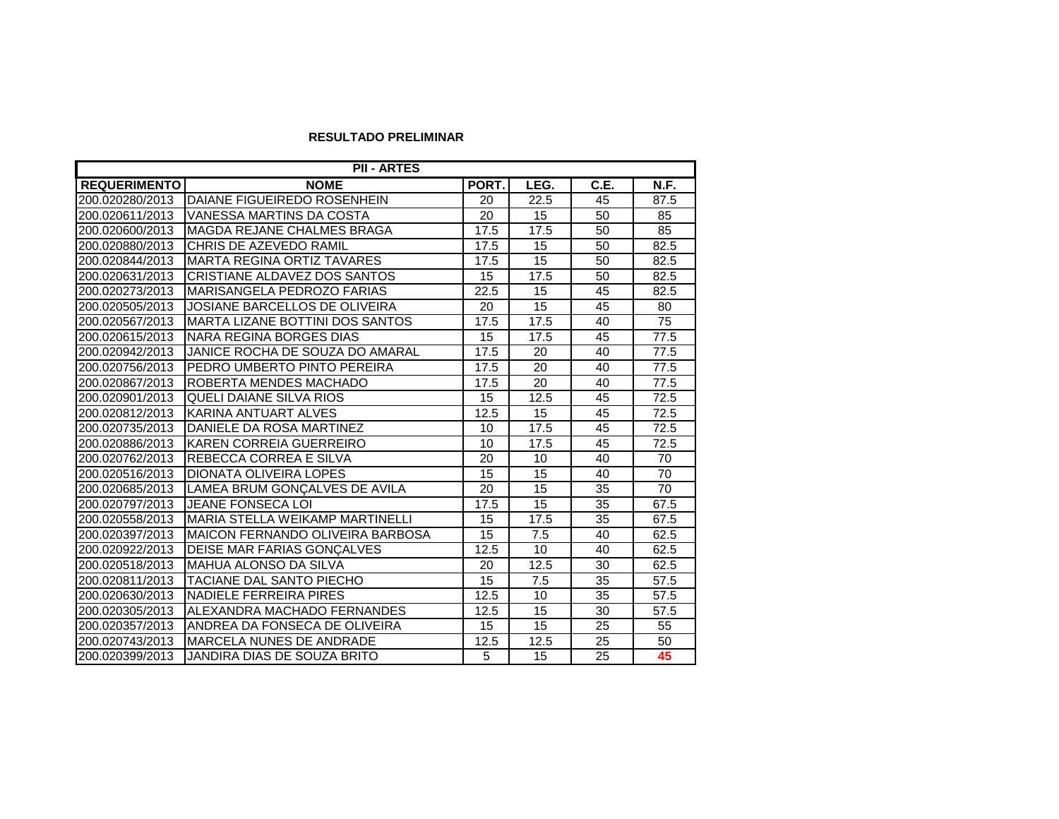## **RESULTADO PRELIMINAR**

| <b>PII - ARTES</b>  |                                        |                   |      |      |             |  |  |  |
|---------------------|----------------------------------------|-------------------|------|------|-------------|--|--|--|
| <b>REQUERIMENTO</b> | <b>NOME</b>                            | PORT.             | LEG. | C.E. | <b>N.F.</b> |  |  |  |
| 200.020280/2013     | DAIANE FIGUEIREDO ROSENHEIN            | 20                | 22.5 | 45   | 87.5        |  |  |  |
| 200.020611/2013     | VANESSA MARTINS DA COSTA               | 20                | 15   | 50   | 85          |  |  |  |
| 200.020600/2013     | MAGDA REJANE CHALMES BRAGA             | 17.5              | 17.5 | 50   | 85          |  |  |  |
| 200.020880/2013     | CHRIS DE AZEVEDO RAMIL                 | 17.5              | 15   | 50   | 82.5        |  |  |  |
| 200.020844/2013     | <b>MARTA REGINA ORTIZ TAVARES</b>      | 17.5              | 15   | 50   | 82.5        |  |  |  |
| 200.020631/2013     | CRISTIANE ALDAVEZ DOS SANTOS           | 15                | 17.5 | 50   | 82.5        |  |  |  |
| 200.020273/2013     | MARISANGELA PEDROZO FARIAS             | 22.5              | 15   | 45   | 82.5        |  |  |  |
| 200.020505/2013     | JOSIANE BARCELLOS DE OLIVEIRA          | 20                | 15   | 45   | 80          |  |  |  |
| 200.020567/2013     | <b>MARTA LIZANE BOTTINI DOS SANTOS</b> | 17.5              | 17.5 | 40   | 75          |  |  |  |
| 200.020615/2013     | NARA REGINA BORGES DIAS                | 15                | 17.5 | 45   | 77.5        |  |  |  |
| 200.020942/2013     | JANICE ROCHA DE SOUZA DO AMARAL        | 17.5              | 20   | 40   | 77.5        |  |  |  |
| 200.020756/2013     | PEDRO UMBERTO PINTO PEREIRA            | 17.5              | 20   | 40   | 77.5        |  |  |  |
| 200.020867/2013     | ROBERTA MENDES MACHADO                 | 17.5              | 20   | 40   | 77.5        |  |  |  |
| 200.020901/2013     | <b>QUELI DAIANE SILVA RIOS</b>         | 15                | 12.5 | 45   | 72.5        |  |  |  |
| 200.020812/2013     | KARINA ANTUART ALVES                   | 12.5              | 15   | 45   | 72.5        |  |  |  |
| 200.020735/2013     | DANIELE DA ROSA MARTINEZ               | 10                | 17.5 | 45   | 72.5        |  |  |  |
| 200.020886/2013     | KAREN CORREIA GUERREIRO                | 10                | 17.5 | 45   | 72.5        |  |  |  |
| 200.020762/2013     | REBECCA CORREA E SILVA                 | 20                | 10   | 40   | 70          |  |  |  |
| 200.020516/2013     | <b>DIONATA OLIVEIRA LOPES</b>          | 15                | 15   | 40   | 70          |  |  |  |
| 200.020685/2013     | LAMEA BRUM GONÇALVES DE AVILA          | 20                | 15   | 35   | 70          |  |  |  |
| 200.020797/2013     | JEANE FONSECA LOI                      | 17.5              | 15   | 35   | 67.5        |  |  |  |
| 200.020558/2013     | <b>MARIA STELLA WEIKAMP MARTINELLI</b> | 15                | 17.5 | 35   | 67.5        |  |  |  |
| 200.020397/2013     | MAICON FERNANDO OLIVEIRA BARBOSA       | 15                | 7.5  | 40   | 62.5        |  |  |  |
| 200.020922/2013     | DEISE MAR FARIAS GONÇALVES             | 12.5              | 10   | 40   | 62.5        |  |  |  |
| 200.020518/2013     | MAHUA ALONSO DA SILVA                  | 20                | 12.5 | 30   | 62.5        |  |  |  |
| 200.020811/2013     | TACIANE DAL SANTO PIECHO               | 15                | 7.5  | 35   | 57.5        |  |  |  |
| 200.020630/2013     | <b>NADIELE FERREIRA PIRES</b>          | $\overline{12.5}$ | 10   | 35   | 57.5        |  |  |  |
| 200.020305/2013     | ALEXANDRA MACHADO FERNANDES            | $\overline{12.5}$ | 15   | 30   | 57.5        |  |  |  |
| 200.020357/2013     | ANDREA DA FONSECA DE OLIVEIRA          | 15                | 15   | 25   | 55          |  |  |  |
| 200.020743/2013     | <b>MARCELA NUNES DE ANDRADE</b>        | 12.5              | 12.5 | 25   | 50          |  |  |  |
| 200.020399/2013     | JANDIRA DIAS DE SOUZA BRITO            | $\overline{5}$    | 15   | 25   | 45          |  |  |  |